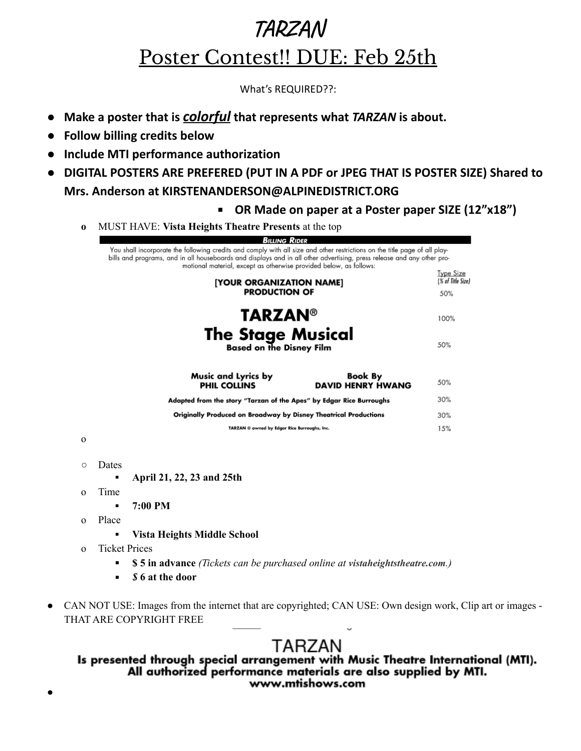What's REQUIRED??:

- **● Make a poster that is** *colorful* **that represents what** *TARZAN* **is about.**
- **● Follow billing credits below**
- **● Include MTI performance authorization**
- **● DIGITAL POSTERS ARE PREFERED (PUT IN A PDF or JPEG THAT IS POSTER SIZE) Shared to Mrs. Anderson at KIRSTENANDERSON@ALPINEDISTRICT.ORG**
	- **OR Made on paper at a Poster paper SIZE (12"x18")**
	- **o** MUST HAVE: **Vista Heights Theatre Presents** at the top

| Billing Rider                                                                                                                                                                                                                                                                                                              |                                              |
|----------------------------------------------------------------------------------------------------------------------------------------------------------------------------------------------------------------------------------------------------------------------------------------------------------------------------|----------------------------------------------|
| You shall incorporate the following credits and comply with all size and other restrictions on the title page of all play-<br>bills and programs, and in all houseboards and displays and in all other advertising, press release and any other pro-<br>motional material, except as otherwise provided below, as follows: |                                              |
| [YOUR ORGANIZATION NAME]<br><b>PRODUCTION OF</b>                                                                                                                                                                                                                                                                           | <u>Type Size</u><br>(% of Title Size)<br>50% |
| <b>TARZAN®</b>                                                                                                                                                                                                                                                                                                             | 100%                                         |
| <b>The Stage Musical</b><br><b>Based on the Disney Film</b>                                                                                                                                                                                                                                                                | 50%                                          |
| <b>Music and Lyrics by</b><br><b>Book By</b><br><b>PHIL COLLINS</b><br><b>DAVID HENRY HWANG</b>                                                                                                                                                                                                                            | 50%                                          |
| Adapted from the story "Tarzan of the Apes" by Edgar Rice Burroughs                                                                                                                                                                                                                                                        | 30%                                          |
| Originally Produced on Broadway by Disney Theatrical Productions                                                                                                                                                                                                                                                           | 30%                                          |
| TARZAN @ owned by Edgar Rice Burroughs, Inc.                                                                                                                                                                                                                                                                               | 15%                                          |
|                                                                                                                                                                                                                                                                                                                            |                                              |

o

●

- Dates
	- **▪ April 21, 22, 23 and 25th**
- o Time
	- **▪ 7:00 PM**
- o Place
	- **▪ Vista Heights Middle School**
- o Ticket Prices
	- **\$ 5 in advance** *(Tickets can be purchased online at vistaheightstheatre.com.)*
	- *\$* **6 at the door**
- CAN NOT USE: Images from the internet that are copyrighted; CAN USE: Own design work, Clip art or images -THAT ARE COPYRIGHT FREE

### TARZAN Is presented through special arrangement with Music Theatre International (MTI). All authorized performance materials are also supplied by MTI. www.mtishows.com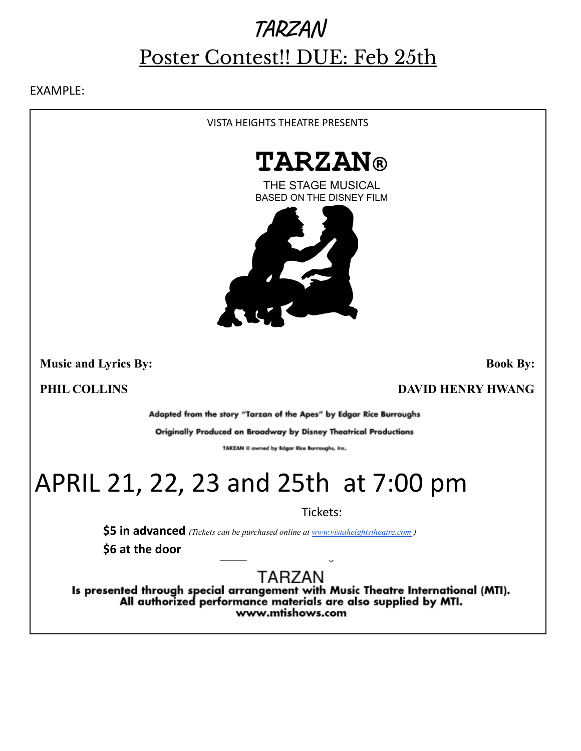EXAMPLE:

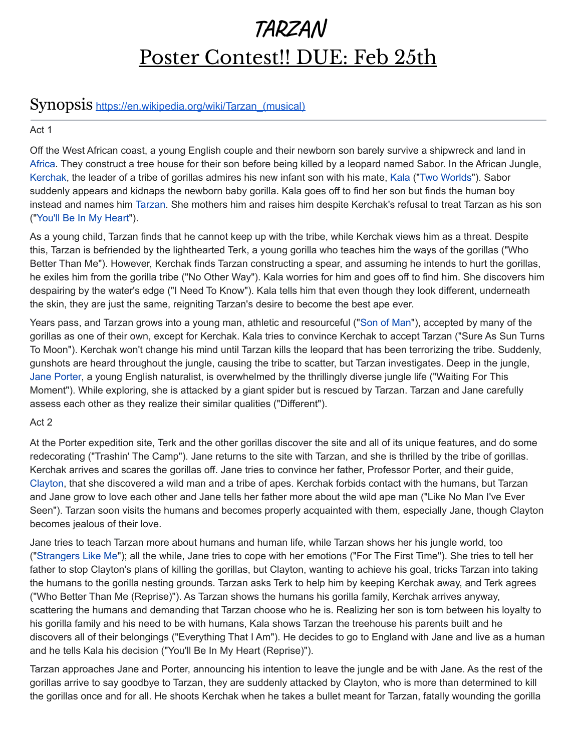### Synopsis [https://en.wikipedia.org/wiki/Tarzan\\_\(musical\)](https://en.wikipedia.org/wiki/Tarzan_(musical))

### Act 1

Off the West African coast, a young English couple and their newborn son barely survive a shipwreck and land in [Africa](https://en.wikipedia.org/wiki/Africa). They construct a tree house for their son before being killed by a leopard named Sabor. In the African Jungle, [Kerchak](https://en.wikipedia.org/wiki/Kerchak), the leader of a tribe of gorillas admires his new infant son with his mate, [Kala](https://en.wikipedia.org/wiki/Kala_(Tarzan)) ("[Two Worlds](https://en.wikipedia.org/wiki/Two_Worlds_(song))"). Sabor suddenly appears and kidnaps the newborn baby gorilla. Kala goes off to find her son but finds the human boy instead and names him [Tarzan](https://en.wikipedia.org/wiki/Tarzan). She mothers him and raises him despite Kerchak's refusal to treat Tarzan as his son ("[You'll Be In My Heart](https://en.wikipedia.org/wiki/You%27ll_Be_in_My_Heart)").

As a young child, Tarzan finds that he cannot keep up with the tribe, while Kerchak views him as a threat. Despite this, Tarzan is befriended by the lighthearted Terk, a young gorilla who teaches him the ways of the gorillas ("Who Better Than Me"). However, Kerchak finds Tarzan constructing a spear, and assuming he intends to hurt the gorillas, he exiles him from the gorilla tribe ("No Other Way"). Kala worries for him and goes off to find him. She discovers him despairing by the water's edge ("I Need To Know"). Kala tells him that even though they look different, underneath the skin, they are just the same, reigniting Tarzan's desire to become the best ape ever.

Years pass, and Tarzan grows into a young man, athletic and resourceful ("[Son of Man](https://en.wikipedia.org/wiki/Son_of_Man_(song))"), accepted by many of the gorillas as one of their own, except for Kerchak. Kala tries to convince Kerchak to accept Tarzan ("Sure As Sun Turns To Moon"). Kerchak won't change his mind until Tarzan kills the leopard that has been terrorizing the tribe. Suddenly, gunshots are heard throughout the jungle, causing the tribe to scatter, but Tarzan investigates. Deep in the jungle, [Jane Porter,](https://en.wikipedia.org/wiki/Jane_Porter) a young English naturalist, is overwhelmed by the thrillingly diverse jungle life ("Waiting For This Moment"). While exploring, she is attacked by a giant spider but is rescued by Tarzan. Tarzan and Jane carefully assess each other as they realize their similar qualities ("Different").

### Act 2

At the Porter expedition site, Terk and the other gorillas discover the site and all of its unique features, and do some redecorating ("Trashin' The Camp"). Jane returns to the site with Tarzan, and she is thrilled by the tribe of gorillas. Kerchak arrives and scares the gorillas off. Jane tries to convince her father, Professor Porter, and their guide, [Clayton](https://en.wikipedia.org/wiki/William_Cecil_Clayton), that she discovered a wild man and a tribe of apes. Kerchak forbids contact with the humans, but Tarzan and Jane grow to love each other and Jane tells her father more about the wild ape man ("Like No Man I've Ever Seen"). Tarzan soon visits the humans and becomes properly acquainted with them, especially Jane, though Clayton becomes jealous of their love.

Jane tries to teach Tarzan more about humans and human life, while Tarzan shows her his jungle world, too ("[Strangers Like Me"](https://en.wikipedia.org/wiki/Strangers_Like_Me)); all the while, Jane tries to cope with her emotions ("For The First Time"). She tries to tell her father to stop Clayton's plans of killing the gorillas, but Clayton, wanting to achieve his goal, tricks Tarzan into taking the humans to the gorilla nesting grounds. Tarzan asks Terk to help him by keeping Kerchak away, and Terk agrees ("Who Better Than Me (Reprise)"). As Tarzan shows the humans his gorilla family, Kerchak arrives anyway, scattering the humans and demanding that Tarzan choose who he is. Realizing her son is torn between his loyalty to his gorilla family and his need to be with humans, Kala shows Tarzan the treehouse his parents built and he discovers all of their belongings ("Everything That I Am"). He decides to go to England with Jane and live as a human and he tells Kala his decision ("You'll Be In My Heart (Reprise)").

Tarzan approaches Jane and Porter, announcing his intention to leave the jungle and be with Jane. As the rest of the gorillas arrive to say goodbye to Tarzan, they are suddenly attacked by Clayton, who is more than determined to kill the gorillas once and for all. He shoots Kerchak when he takes a bullet meant for Tarzan, fatally wounding the gorilla